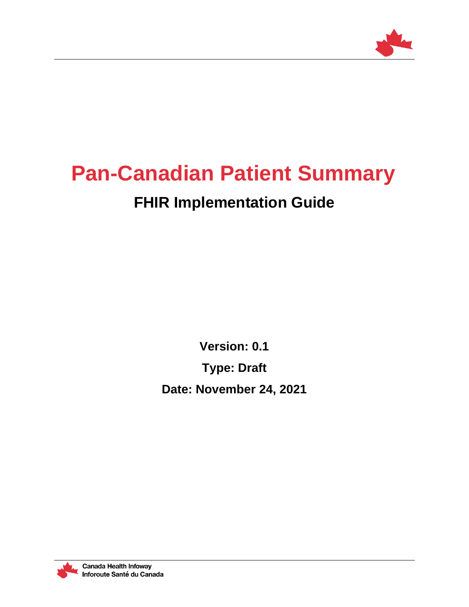

# **Pan-Canadian Patient Summary**

# **FHIR Implementation Guide**

**Version: 0.1**

**Type: Draft**

**Date: November 24, 2021**

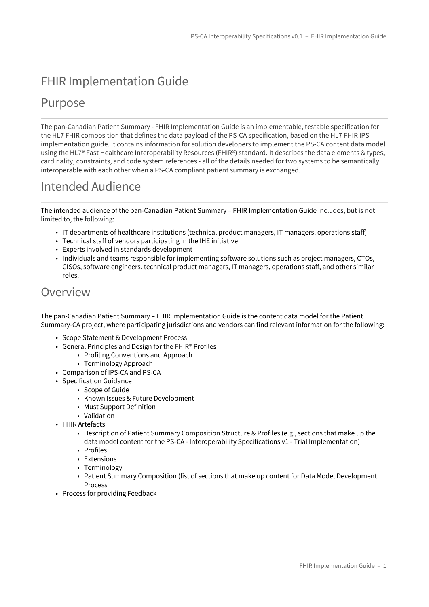# FHIR Implementation Guide

#### Purpose

The pan-Canadian Patient Summary - FHIR Implementation Guide is an implementable, testable specification for the HL7 FHIR composition that defines the data payload of the PS-CA specification, based on the HL7 FHIR IPS implementation guide. It contains information for solution developers to implement the PS-CA content data model using the HL7® Fast Healthcare Interoperability Resources (FHIR®) standard. It describes the data elements & types, cardinality, constraints, and code system references - all of the details needed for two systems to be semantically interoperable with each other when a PS-CA compliant patient summary is exchanged.

### Intended Audience

The intended audience of the pan-Canadian Patient Summary – FHIR Implementation Guide includes, but is not limited to, the following:

- IT departments of healthcare institutions (technical product managers, IT managers, operations staff)
- Technical staff of vendors participating in the IHE initiative
- Experts involved in standards development
- Individuals and teams responsible for implementing software solutions such as project managers, CTOs, CISOs, software engineers, technical product managers, IT managers, operations staff, and other similar roles.

#### Overview

The pan-Canadian Patient Summary – FHIR Implementation Guide is the content data model for the Patient Summary-CA project, where participating jurisdictions and vendors can find relevant information for the following:

- Scope Statement & Development Process
- General Principles and Design for the FHIR® Profiles
	- Profiling Conventions and Approach
		- Terminology Approach
- Comparison of IPS-CA and PS-CA
- Specification Guidance
	- Scope of Guide
	- Known Issues & Future Development
	- Must Support Definition
	- Validation
- FHIR Artefacts
	- Description of Patient Summary Composition Structure & Profiles (e.g., sections that make up the data model content for the PS-CA - Interoperability Specifications v1 - Trial Implementation)
	- Profiles
	- Extensions
	- Terminology
	- Patient Summary Composition (list of sections that make up content for Data Model Development Process
- Process for providing Feedback